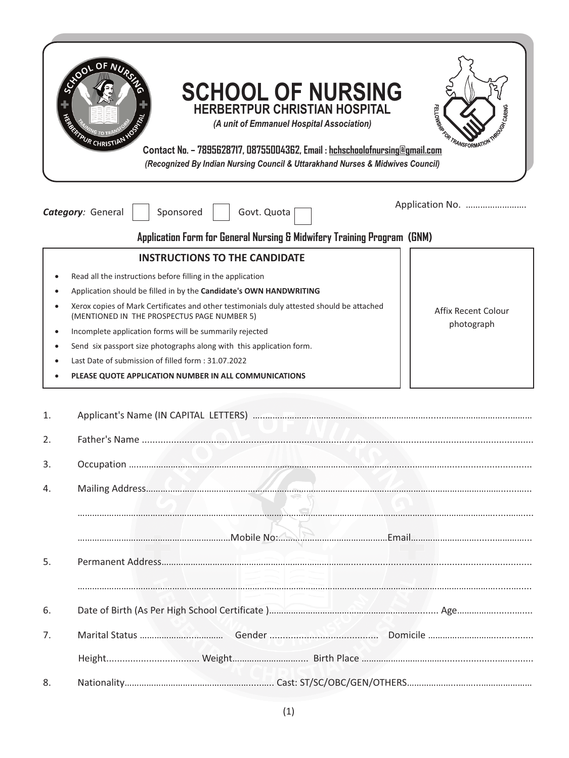|           | OF N <sub>I</sub><br>AUR CHRISTIAN | <b>SCHOOL OF NURSING</b><br><b>HERBERTPUR CHRISTIAN HOSPITAL</b><br>(A unit of Emmanuel Hospital Association)<br>Contact No. - 7895628717, 08755004362, Email: hchschoolofnursing@gmail.com<br>(Recognized By Indian Nursing Council & Uttarakhand Nurses & Midwives Council)                                                                                                                                                                                                                                                                                           | FELLOWSK <sup>R</sup><br><b>POCOTA CARING</b><br><b><i>FORTRANSFORMATION</i></b> |
|-----------|------------------------------------|-------------------------------------------------------------------------------------------------------------------------------------------------------------------------------------------------------------------------------------------------------------------------------------------------------------------------------------------------------------------------------------------------------------------------------------------------------------------------------------------------------------------------------------------------------------------------|----------------------------------------------------------------------------------|
|           | Category: General                  | Sponsored<br>Govt. Quota                                                                                                                                                                                                                                                                                                                                                                                                                                                                                                                                                | Application No.                                                                  |
|           |                                    | Application Form for General Nursing & Midwifery Training Program (GNM)                                                                                                                                                                                                                                                                                                                                                                                                                                                                                                 |                                                                                  |
| $\bullet$ |                                    | <b>INSTRUCTIONS TO THE CANDIDATE</b><br>Read all the instructions before filling in the application<br>Application should be filled in by the Candidate's OWN HANDWRITING<br>Xerox copies of Mark Certificates and other testimonials duly attested should be attached<br>(MENTIONED IN THE PROSPECTUS PAGE NUMBER 5)<br>Incomplete application forms will be summarily rejected<br>Send six passport size photographs along with this application form.<br>Last Date of submission of filled form: 31.07.2022<br>PLEASE QUOTE APPLICATION NUMBER IN ALL COMMUNICATIONS | <b>Affix Recent Colour</b><br>photograph                                         |
| 1.        |                                    |                                                                                                                                                                                                                                                                                                                                                                                                                                                                                                                                                                         |                                                                                  |
| 2.        |                                    |                                                                                                                                                                                                                                                                                                                                                                                                                                                                                                                                                                         |                                                                                  |
| 3.        |                                    |                                                                                                                                                                                                                                                                                                                                                                                                                                                                                                                                                                         |                                                                                  |
| 4.        |                                    |                                                                                                                                                                                                                                                                                                                                                                                                                                                                                                                                                                         |                                                                                  |
| 5.        |                                    |                                                                                                                                                                                                                                                                                                                                                                                                                                                                                                                                                                         |                                                                                  |
| 6.        |                                    |                                                                                                                                                                                                                                                                                                                                                                                                                                                                                                                                                                         |                                                                                  |
| 7.        |                                    |                                                                                                                                                                                                                                                                                                                                                                                                                                                                                                                                                                         |                                                                                  |
|           |                                    |                                                                                                                                                                                                                                                                                                                                                                                                                                                                                                                                                                         |                                                                                  |
| 8.        |                                    |                                                                                                                                                                                                                                                                                                                                                                                                                                                                                                                                                                         |                                                                                  |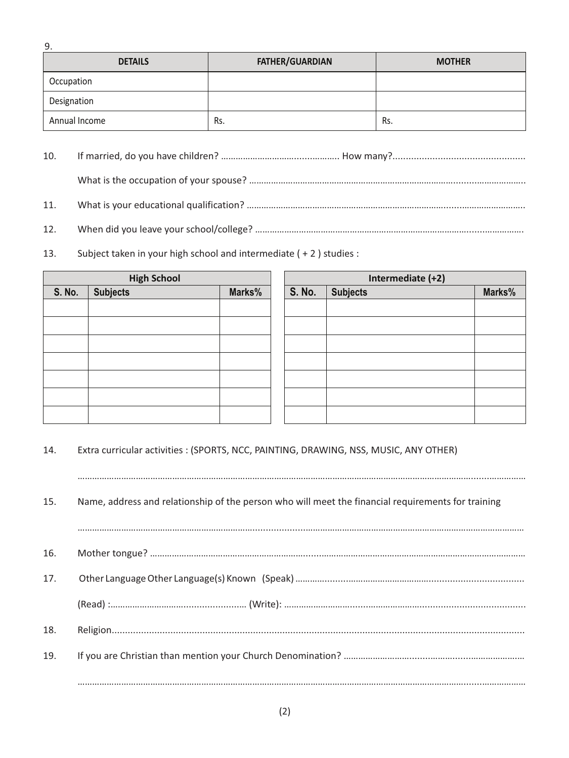| <b>DETAILS</b> | <b>FATHER/GUARDIAN</b> | <b>MOTHER</b> |
|----------------|------------------------|---------------|
| Occupation     |                        |               |
| Designation    |                        |               |
| Annual Income  | Rs.                    | Rs.           |

- 10. If married, do you have children? ………………………….......……….. How many?.................................................. What is the occupation of your spouse? ………………………………………………………………………….........………………..
- 11. What is your educational qualification? ……………………………………………………………………….......……………………..
- 12. When did you leave your school/college? …………………………………………………………………………….......…………….
- 13. Subject taken in your high school and intermediate ( + 2 ) studies :

9.

| <b>High School</b> |                 |        |  | Intermediate (+2) |                 |        |
|--------------------|-----------------|--------|--|-------------------|-----------------|--------|
| <b>S. No.</b>      | <b>Subjects</b> | Marks% |  | <b>S. No.</b>     | <b>Subjects</b> | Marks% |
|                    |                 |        |  |                   |                 |        |
|                    |                 |        |  |                   |                 |        |
|                    |                 |        |  |                   |                 |        |
|                    |                 |        |  |                   |                 |        |
|                    |                 |        |  |                   |                 |        |
|                    |                 |        |  |                   |                 |        |
|                    |                 |        |  |                   |                 |        |

14. Extra curricular activities : (SPORTS, NCC, PAINTING, DRAWING, NSS, MUSIC, ANY OTHER)

15. Name, address and relationship of the person who will meet the financial requirements for training

……………………………………………………………………………………………………………………………………………….......……………

………………………………………………………………....................……………………………………………………………………………… 16. Mother tongue? ……………………………………………………….......………………………………………………………………………… 17. Other Language Other Language(s) Known (Speak) ………….........…………………………….................................... (Read) :………………………….....................… (Write): ……………………….......…………………........................................ 18. Religion........................................................................................................................................................... 19. If you are Christian than mention your Church Denomination? ………………………........……….......……………….… …………………………………………………………………………………………………………………………………………….......………………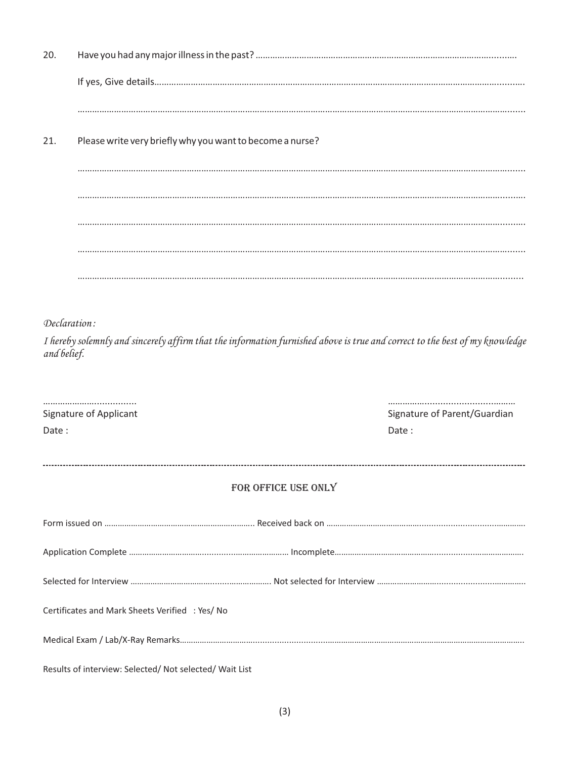| 20.                                    |                                                           |                                                                                                                             |                              |  |  |  |
|----------------------------------------|-----------------------------------------------------------|-----------------------------------------------------------------------------------------------------------------------------|------------------------------|--|--|--|
|                                        |                                                           |                                                                                                                             |                              |  |  |  |
|                                        |                                                           |                                                                                                                             |                              |  |  |  |
| 21.                                    | Please write very briefly why you want to become a nurse? |                                                                                                                             |                              |  |  |  |
|                                        |                                                           |                                                                                                                             |                              |  |  |  |
|                                        |                                                           |                                                                                                                             |                              |  |  |  |
|                                        |                                                           |                                                                                                                             |                              |  |  |  |
|                                        |                                                           |                                                                                                                             |                              |  |  |  |
|                                        |                                                           |                                                                                                                             |                              |  |  |  |
|                                        |                                                           |                                                                                                                             |                              |  |  |  |
|                                        | Declaration:                                              |                                                                                                                             |                              |  |  |  |
| and belief.                            |                                                           | I hereby solemnly and sincerely affirm that the information furnished above is true and correct to the best of my knowledge |                              |  |  |  |
|                                        |                                                           |                                                                                                                             |                              |  |  |  |
|                                        |                                                           |                                                                                                                             | Signature of Parent/Guardian |  |  |  |
| <b>Signature of Applicant</b><br>Date: |                                                           |                                                                                                                             | Date:                        |  |  |  |
|                                        |                                                           | FOR OFFICE USE ONLY                                                                                                         |                              |  |  |  |
|                                        |                                                           |                                                                                                                             |                              |  |  |  |
|                                        |                                                           |                                                                                                                             |                              |  |  |  |
|                                        |                                                           |                                                                                                                             |                              |  |  |  |
|                                        |                                                           |                                                                                                                             |                              |  |  |  |
|                                        | Certificates and Mark Sheets Verified : Yes/ No           |                                                                                                                             |                              |  |  |  |
|                                        |                                                           |                                                                                                                             |                              |  |  |  |
|                                        | Results of interview: Selected/ Not selected/ Wait List   |                                                                                                                             |                              |  |  |  |

(3)